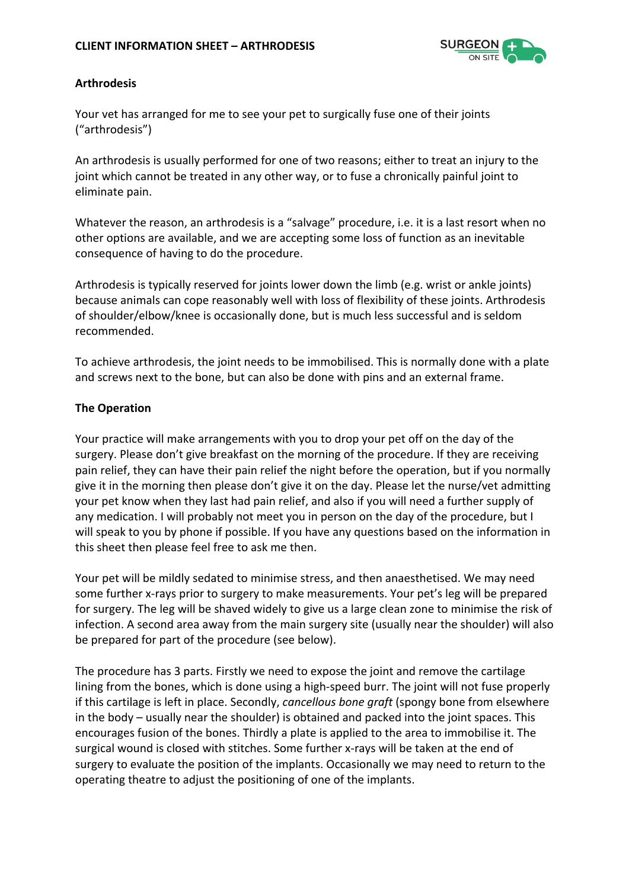

## **Arthrodesis**

Your vet has arranged for me to see your pet to surgically fuse one of their joints ("arthrodesis")

An arthrodesis is usually performed for one of two reasons; either to treat an injury to the joint which cannot be treated in any other way, or to fuse a chronically painful joint to eliminate pain.

Whatever the reason, an arthrodesis is a "salvage" procedure, i.e. it is a last resort when no other options are available, and we are accepting some loss of function as an inevitable consequence of having to do the procedure.

Arthrodesis is typically reserved for joints lower down the limb (e.g. wrist or ankle joints) because animals can cope reasonably well with loss of flexibility of these joints. Arthrodesis of shoulder/elbow/knee is occasionally done, but is much less successful and is seldom recommended.

To achieve arthrodesis, the joint needs to be immobilised. This is normally done with a plate and screws next to the bone, but can also be done with pins and an external frame.

## **The Operation**

Your practice will make arrangements with you to drop your pet off on the day of the surgery. Please don't give breakfast on the morning of the procedure. If they are receiving pain relief, they can have their pain relief the night before the operation, but if you normally give it in the morning then please don't give it on the day. Please let the nurse/vet admitting your pet know when they last had pain relief, and also if you will need a further supply of any medication. I will probably not meet you in person on the day of the procedure, but I will speak to you by phone if possible. If you have any questions based on the information in this sheet then please feel free to ask me then.

Your pet will be mildly sedated to minimise stress, and then anaesthetised. We may need some further x-rays prior to surgery to make measurements. Your pet's leg will be prepared for surgery. The leg will be shaved widely to give us a large clean zone to minimise the risk of infection. A second area away from the main surgery site (usually near the shoulder) will also be prepared for part of the procedure (see below).

The procedure has 3 parts. Firstly we need to expose the joint and remove the cartilage lining from the bones, which is done using a high-speed burr. The joint will not fuse properly if this cartilage is left in place. Secondly, *cancellous bone graft* (spongy bone from elsewhere in the body – usually near the shoulder) is obtained and packed into the joint spaces. This encourages fusion of the bones. Thirdly a plate is applied to the area to immobilise it. The surgical wound is closed with stitches. Some further x-rays will be taken at the end of surgery to evaluate the position of the implants. Occasionally we may need to return to the operating theatre to adjust the positioning of one of the implants.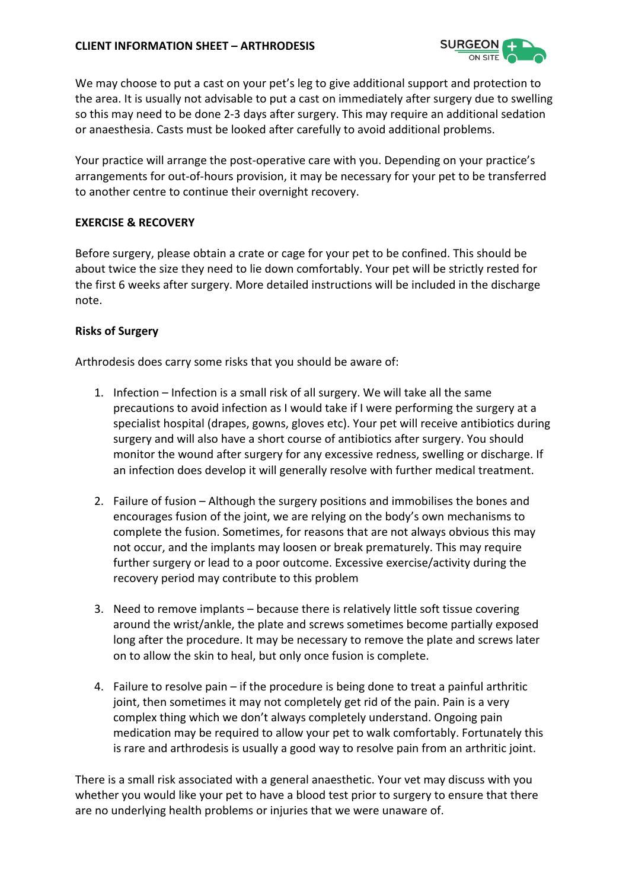

We may choose to put a cast on your pet's leg to give additional support and protection to the area. It is usually not advisable to put a cast on immediately after surgery due to swelling so this may need to be done 2-3 days after surgery. This may require an additional sedation or anaesthesia. Casts must be looked after carefully to avoid additional problems.

Your practice will arrange the post-operative care with you. Depending on your practice's arrangements for out-of-hours provision, it may be necessary for your pet to be transferred to another centre to continue their overnight recovery.

## **EXERCISE & RECOVERY**

Before surgery, please obtain a crate or cage for your pet to be confined. This should be about twice the size they need to lie down comfortably. Your pet will be strictly rested for the first 6 weeks after surgery. More detailed instructions will be included in the discharge note.

## **Risks of Surgery**

Arthrodesis does carry some risks that you should be aware of:

- 1. Infection Infection is a small risk of all surgery. We will take all the same precautions to avoid infection as I would take if I were performing the surgery at a specialist hospital (drapes, gowns, gloves etc). Your pet will receive antibiotics during surgery and will also have a short course of antibiotics after surgery. You should monitor the wound after surgery for any excessive redness, swelling or discharge. If an infection does develop it will generally resolve with further medical treatment.
- 2. Failure of fusion Although the surgery positions and immobilises the bones and encourages fusion of the joint, we are relying on the body's own mechanisms to complete the fusion. Sometimes, for reasons that are not always obvious this may not occur, and the implants may loosen or break prematurely. This may require further surgery or lead to a poor outcome. Excessive exercise/activity during the recovery period may contribute to this problem
- 3. Need to remove implants because there is relatively little soft tissue covering around the wrist/ankle, the plate and screws sometimes become partially exposed long after the procedure. It may be necessary to remove the plate and screws later on to allow the skin to heal, but only once fusion is complete.
- 4. Failure to resolve pain if the procedure is being done to treat a painful arthritic joint, then sometimes it may not completely get rid of the pain. Pain is a very complex thing which we don't always completely understand. Ongoing pain medication may be required to allow your pet to walk comfortably. Fortunately this is rare and arthrodesis is usually a good way to resolve pain from an arthritic joint.

There is a small risk associated with a general anaesthetic. Your vet may discuss with you whether you would like your pet to have a blood test prior to surgery to ensure that there are no underlying health problems or injuries that we were unaware of.